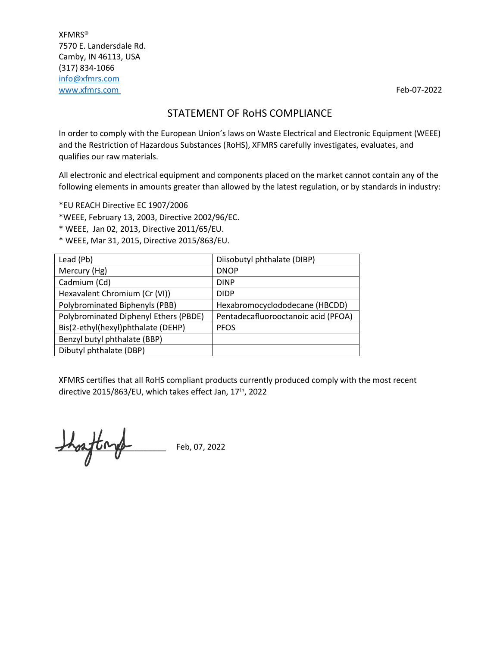XFMRS® 7570 E. Landersdale Rd. Camby, IN 46113, USA (317) 834-1066 [info@xfmrs.com](mailto:info@xfmrs.com) [www.xfmrs.com](http://www.xfmrs.com/) **Feb-07-2022** 

## STATEMENT OF RoHS COMPLIANCE

In order to comply with the European Union's laws on Waste Electrical and Electronic Equipment (WEEE) and the Restriction of Hazardous Substances (RoHS), XFMRS carefully investigates, evaluates, and qualifies our raw materials.

All electronic and electrical equipment and components placed on the market cannot contain any of the following elements in amounts greater than allowed by the latest regulation, or by standards in industry:

\*EU REACH Directive EC 1907/2006

\*WEEE, February 13, 2003, Directive 2002/96/EC.

\* WEEE, Jan 02, 2013, Directive 2011/65/EU.

\* WEEE, Mar 31, 2015, Directive 2015/863/EU.

| Lead (Pb)                             | Diisobutyl phthalate (DIBP)         |
|---------------------------------------|-------------------------------------|
| Mercury (Hg)                          | <b>DNOP</b>                         |
| Cadmium (Cd)                          | <b>DINP</b>                         |
| Hexavalent Chromium (Cr (VI))         | <b>DIDP</b>                         |
| Polybrominated Biphenyls (PBB)        | Hexabromocyclododecane (HBCDD)      |
| Polybrominated Diphenyl Ethers (PBDE) | Pentadecafluorooctanoic acid (PFOA) |
| Bis(2-ethyl(hexyl)phthalate (DEHP)    | <b>PFOS</b>                         |
| Benzyl butyl phthalate (BBP)          |                                     |
| Dibutyl phthalate (DBP)               |                                     |

XFMRS certifies that all RoHS compliant products currently produced comply with the most recent directive 2015/863/EU, which takes effect Jan, 17<sup>th</sup>, 2022

 $\frac{1}{\sqrt{2}}$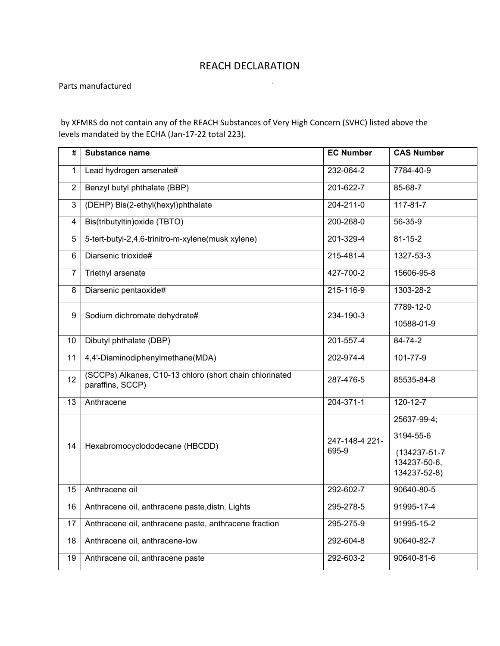## REACH DECLARATION

 $\sim 10^7$ 

Parts manufactured

by XFMRS do not contain any of the REACH Substances of Very High Concern (SVHC) listed above the levels mandated by the ECHA (Jan-17-22 total 223).

| Ħ                | <b>Substance name</b>                                                       | <b>EC Number</b>        | <b>CAS Number</b>                                                        |
|------------------|-----------------------------------------------------------------------------|-------------------------|--------------------------------------------------------------------------|
| 1                | Lead hydrogen arsenate#                                                     | 232-064-2               | 7784-40-9                                                                |
| $\overline{2}$   | Benzyl butyl phthalate (BBP)                                                | 201-622-7               | 85-68-7                                                                  |
| 3                | (DEHP) Bis(2-ethyl(hexyl)phthalate                                          | 204-211-0               | $117 - 81 - 7$                                                           |
| 4                | Bis(tributyltin) oxide (TBTO)                                               | 200-268-0               | 56-35-9                                                                  |
| $\overline{5}$   | 5-tert-butyl-2,4,6-trinitro-m-xylene(musk xylene)                           | 201-329-4               | $81 - 15 - 2$                                                            |
| 6                | Diarsenic trioxide#                                                         | 215-481-4               | 1327-53-3                                                                |
| 7                | <b>Triethyl arsenate</b>                                                    | 427-700-2               | 15606-95-8                                                               |
| 8                | Diarsenic pentaoxide#                                                       | 215-116-9               | 1303-28-2                                                                |
| $\boldsymbol{9}$ | Sodium dichromate dehydrate#                                                | 234-190-3               | 7789-12-0                                                                |
|                  |                                                                             |                         | 10588-01-9                                                               |
| 10               | Dibutyl phthalate (DBP)                                                     | 201-557-4               | 84-74-2                                                                  |
| 11               | 4,4'-Diaminodiphenylmethane(MDA)                                            | 202-974-4               | $101 - 77 - 9$                                                           |
| 12               | (SCCPs) Alkanes, C10-13 chloro (short chain chlorinated<br>paraffins, SCCP) | 287-476-5               | 85535-84-8                                                               |
| 13               | Anthracene                                                                  | $204 - 371 - 1$         | $120 - 12 - 7$                                                           |
| 14               | Hexabromocyclododecane (HBCDD)                                              | 247-148-4 221-<br>695-9 | 25637-99-4;<br>3194-55-6<br>(134237-51-7<br>134237-50-6,<br>134237-52-8) |
| 15               | Anthracene oil                                                              | 292-602-7               | 90640-80-5                                                               |
| 16               | Anthracene oil, anthracene paste, distn. Lights                             | 295-278-5               | 91995-17-4                                                               |
| 17               | Anthracene oil, anthracene paste, anthracene fraction                       | 295-275-9               | 91995-15-2                                                               |
| 18               | Anthracene oil, anthracene-low                                              | 292-604-8               | 90640-82-7                                                               |
| 19               | Anthracene oil, anthracene paste                                            | 292-603-2               | 90640-81-6                                                               |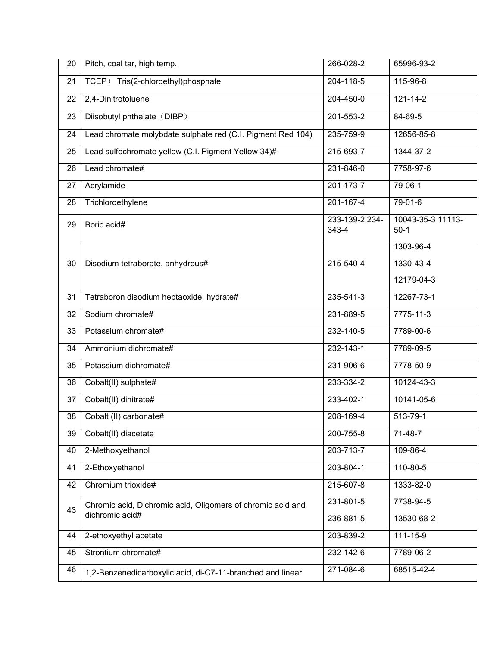| 20 | Pitch, coal tar, high temp.                                 | 266-028-2               | 65996-93-2                  |
|----|-------------------------------------------------------------|-------------------------|-----------------------------|
| 21 | TCEP) Tris(2-chloroethyl)phosphate                          | 204-118-5               | 115-96-8                    |
| 22 | 2,4-Dinitrotoluene                                          | 204-450-0               | 121-14-2                    |
| 23 | Diisobutyl phthalate (DIBP)                                 | 201-553-2               | 84-69-5                     |
| 24 | Lead chromate molybdate sulphate red (C.I. Pigment Red 104) | 235-759-9               | 12656-85-8                  |
| 25 | Lead sulfochromate yellow (C.I. Pigment Yellow 34)#         | 215-693-7               | 1344-37-2                   |
| 26 | Lead chromate#                                              | 231-846-0               | 7758-97-6                   |
| 27 | Acrylamide                                                  | $201 - 173 - 7$         | 79-06-1                     |
| 28 | Trichloroethylene                                           | $201 - 167 - 4$         | 79-01-6                     |
| 29 | Boric acid#                                                 | 233-139-2 234-<br>343-4 | 10043-35-3 11113-<br>$50-1$ |
|    |                                                             |                         | 1303-96-4                   |
| 30 | Disodium tetraborate, anhydrous#                            | 215-540-4               | 1330-43-4                   |
|    |                                                             |                         | 12179-04-3                  |
| 31 | Tetraboron disodium heptaoxide, hydrate#                    | 235-541-3               | 12267-73-1                  |
| 32 | Sodium chromate#                                            | 231-889-5               | 7775-11-3                   |
| 33 | Potassium chromate#                                         | 232-140-5               | 7789-00-6                   |
| 34 | Ammonium dichromate#                                        | 232-143-1               | 7789-09-5                   |
| 35 | Potassium dichromate#                                       | 231-906-6               | 7778-50-9                   |
| 36 | Cobalt(II) sulphate#                                        | 233-334-2               | 10124-43-3                  |
| 37 | Cobalt(II) dinitrate#                                       | $233 - 402 - 1$         | 10141-05-6                  |
| 38 | Cobalt (II) carbonate#                                      | 208-169-4               | 513-79-1                    |
| 39 | Cobalt(II) diacetate                                        | 200-755-8               | 71-48-7                     |
| 40 | 2-Methoxyethanol                                            | 203-713-7               | 109-86-4                    |
| 41 | 2-Ethoxyethanol                                             | 203-804-1               | 110-80-5                    |
| 42 | Chromium trioxide#                                          | 215-607-8               | 1333-82-0                   |
| 43 | Chromic acid, Dichromic acid, Oligomers of chromic acid and | 231-801-5               | 7738-94-5                   |
|    | dichromic acid#                                             | 236-881-5               | 13530-68-2                  |
| 44 | 2-ethoxyethyl acetate                                       | 203-839-2               | 111-15-9                    |
| 45 | Strontium chromate#                                         | 232-142-6               | 7789-06-2                   |
| 46 | 1,2-Benzenedicarboxylic acid, di-C7-11-branched and linear  | 271-084-6               | 68515-42-4                  |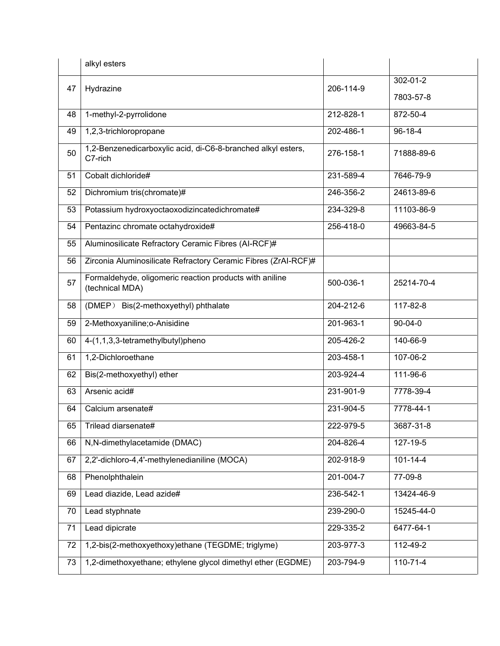|    | alkyl esters                                                               |           |                |
|----|----------------------------------------------------------------------------|-----------|----------------|
| 47 | Hydrazine                                                                  | 206-114-9 | 302-01-2       |
|    |                                                                            |           | 7803-57-8      |
| 48 | 1-methyl-2-pyrrolidone                                                     | 212-828-1 | 872-50-4       |
| 49 | 1,2,3-trichloropropane                                                     | 202-486-1 | 96-18-4        |
| 50 | 1,2-Benzenedicarboxylic acid, di-C6-8-branched alkyl esters,<br>C7-rich    | 276-158-1 | 71888-89-6     |
| 51 | Cobalt dichloride#                                                         | 231-589-4 | 7646-79-9      |
| 52 | Dichromium tris(chromate)#                                                 | 246-356-2 | 24613-89-6     |
| 53 | Potassium hydroxyoctaoxodizincatedichromate#                               | 234-329-8 | 11103-86-9     |
| 54 | Pentazinc chromate octahydroxide#                                          | 256-418-0 | 49663-84-5     |
| 55 | Aluminosilicate Refractory Ceramic Fibres (AI-RCF)#                        |           |                |
| 56 | Zirconia Aluminosilicate Refractory Ceramic Fibres (ZrAI-RCF)#             |           |                |
| 57 | Formaldehyde, oligomeric reaction products with aniline<br>(technical MDA) | 500-036-1 | 25214-70-4     |
| 58 | (DMEP) Bis(2-methoxyethyl) phthalate                                       | 204-212-6 | 117-82-8       |
| 59 | 2-Methoxyaniline; o-Anisidine                                              | 201-963-1 | 90-04-0        |
| 60 | 4-(1,1,3,3-tetramethylbutyl)pheno                                          | 205-426-2 | 140-66-9       |
| 61 | 1,2-Dichloroethane                                                         | 203-458-1 | 107-06-2       |
| 62 | Bis(2-methoxyethyl) ether                                                  | 203-924-4 | 111-96-6       |
| 63 | Arsenic acid#                                                              | 231-901-9 | 7778-39-4      |
| 64 | Calcium arsenate#                                                          | 231-904-5 | 7778-44-1      |
| 65 | Trilead diarsenate#                                                        | 222-979-5 | 3687-31-8      |
| 66 | N,N-dimethylacetamide (DMAC)                                               | 204-826-4 | 127-19-5       |
| 67 | 2,2'-dichloro-4,4'-methylenedianiline (MOCA)                               | 202-918-9 | $101 - 14 - 4$ |
| 68 | Phenolphthalein                                                            | 201-004-7 | 77-09-8        |
| 69 | Lead diazide, Lead azide#                                                  | 236-542-1 | 13424-46-9     |
| 70 | Lead styphnate                                                             | 239-290-0 | 15245-44-0     |
| 71 | Lead dipicrate                                                             | 229-335-2 | 6477-64-1      |
| 72 | 1,2-bis(2-methoxyethoxy)ethane (TEGDME; triglyme)                          | 203-977-3 | 112-49-2       |
| 73 | 1,2-dimethoxyethane; ethylene glycol dimethyl ether (EGDME)                | 203-794-9 | $110 - 71 - 4$ |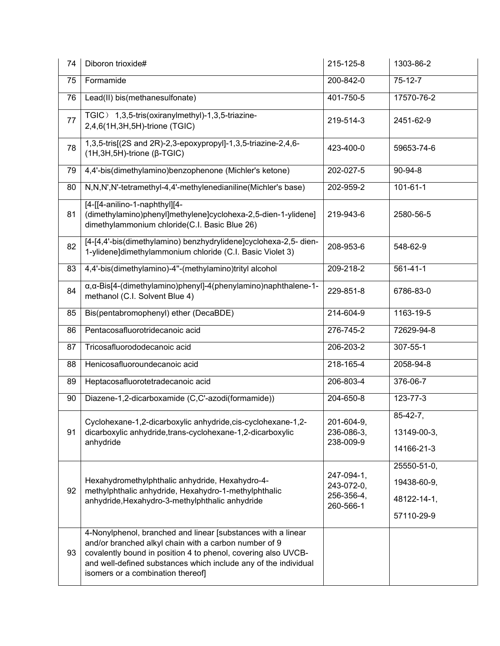| 74 | Diboron trioxide#                                                                                                                                                                                                                                                                              | 215-125-8                                           | 1303-86-2                                               |
|----|------------------------------------------------------------------------------------------------------------------------------------------------------------------------------------------------------------------------------------------------------------------------------------------------|-----------------------------------------------------|---------------------------------------------------------|
| 75 | Formamide                                                                                                                                                                                                                                                                                      | 200-842-0                                           | $75 - 12 - 7$                                           |
| 76 | Lead(II) bis(methanesulfonate)                                                                                                                                                                                                                                                                 | 401-750-5                                           | 17570-76-2                                              |
| 77 | TGIC) 1,3,5-tris(oxiranylmethyl)-1,3,5-triazine-<br>2,4,6(1H,3H,5H)-trione (TGIC)                                                                                                                                                                                                              | 219-514-3                                           | 2451-62-9                                               |
| 78 | 1,3,5-tris[(2S and 2R)-2,3-epoxypropyl]-1,3,5-triazine-2,4,6-<br>$(1H, 3H, 5H)$ -trione ( $\beta$ -TGIC)                                                                                                                                                                                       | 423-400-0                                           | 59653-74-6                                              |
| 79 | 4,4'-bis(dimethylamino)benzophenone (Michler's ketone)                                                                                                                                                                                                                                         | 202-027-5                                           | 90-94-8                                                 |
| 80 | N,N,N',N'-tetramethyl-4,4'-methylenedianiline(Michler's base)                                                                                                                                                                                                                                  | 202-959-2                                           | $101 - 61 - 1$                                          |
| 81 | [4-[[4-anilino-1-naphthyl][4-<br>(dimethylamino)phenyl]methylene]cyclohexa-2,5-dien-1-ylidene]<br>dimethylammonium chloride(C.I. Basic Blue 26)                                                                                                                                                | 219-943-6                                           | 2580-56-5                                               |
| 82 | [4-[4,4'-bis(dimethylamino) benzhydrylidene]cyclohexa-2,5- dien-<br>1-ylidene]dimethylammonium chloride (C.I. Basic Violet 3)                                                                                                                                                                  | 208-953-6                                           | 548-62-9                                                |
| 83 | 4,4'-bis(dimethylamino)-4"-(methylamino)trityl alcohol                                                                                                                                                                                                                                         | 209-218-2                                           | $561 - 41 - 1$                                          |
| 84 | α, α-Bis[4-(dimethylamino)phenyl]-4(phenylamino)naphthalene-1-<br>methanol (C.I. Solvent Blue 4)                                                                                                                                                                                               | 229-851-8                                           | 6786-83-0                                               |
| 85 | Bis(pentabromophenyl) ether (DecaBDE)                                                                                                                                                                                                                                                          | 214-604-9                                           | 1163-19-5                                               |
| 86 | Pentacosafluorotridecanoic acid                                                                                                                                                                                                                                                                | 276-745-2                                           | 72629-94-8                                              |
| 87 | Tricosafluorododecanoic acid                                                                                                                                                                                                                                                                   | 206-203-2                                           | 307-55-1                                                |
| 88 | Henicosafluoroundecanoic acid                                                                                                                                                                                                                                                                  | 218-165-4                                           | 2058-94-8                                               |
| 89 | Heptacosafluorotetradecanoic acid                                                                                                                                                                                                                                                              | 206-803-4                                           | 376-06-7                                                |
| 90 | Diazene-1,2-dicarboxamide (C,C'-azodi(formamide))                                                                                                                                                                                                                                              | 204-650-8                                           | 123-77-3                                                |
| 91 | Cyclohexane-1,2-dicarboxylic anhydride, cis-cyclohexane-1,2-<br>dicarboxylic anhydride, trans-cyclohexane-1, 2-dicarboxylic<br>anhydride                                                                                                                                                       | 201-604-9<br>236-086-3,<br>238-009-9                | $85 - 42 - 7$ ,<br>13149-00-3,<br>14166-21-3            |
| 92 | Hexahydromethylphthalic anhydride, Hexahydro-4-<br>methylphthalic anhydride, Hexahydro-1-methylphthalic<br>anhydride, Hexahydro-3-methylphthalic anhydride                                                                                                                                     | 247-094-1,<br>243-072-0,<br>256-356-4,<br>260-566-1 | 25550-51-0,<br>19438-60-9,<br>48122-14-1,<br>57110-29-9 |
| 93 | 4-Nonylphenol, branched and linear [substances with a linear<br>and/or branched alkyl chain with a carbon number of 9<br>covalently bound in position 4 to phenol, covering also UVCB-<br>and well-defined substances which include any of the individual<br>isomers or a combination thereof] |                                                     |                                                         |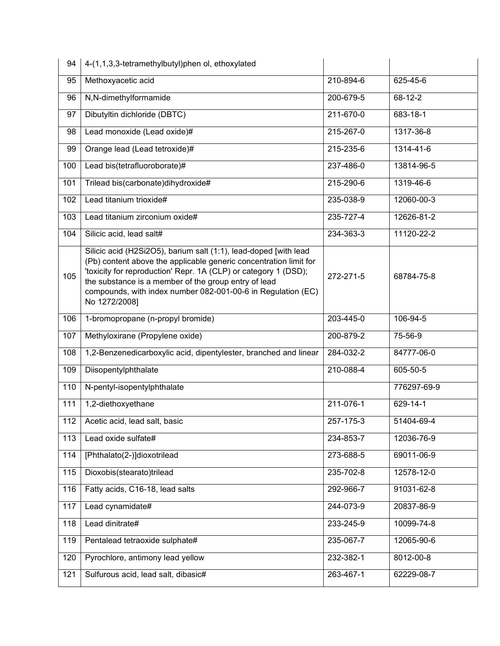| 94  | 4-(1,1,3,3-tetramethylbutyl)phen ol, ethoxylated                                                                                                                                                                                                                                                                                                  |           |                 |
|-----|---------------------------------------------------------------------------------------------------------------------------------------------------------------------------------------------------------------------------------------------------------------------------------------------------------------------------------------------------|-----------|-----------------|
| 95  | Methoxyacetic acid                                                                                                                                                                                                                                                                                                                                | 210-894-6 | 625-45-6        |
| 96  | N,N-dimethylformamide                                                                                                                                                                                                                                                                                                                             | 200-679-5 | $68 - 12 - 2$   |
| 97  | Dibutyltin dichloride (DBTC)                                                                                                                                                                                                                                                                                                                      | 211-670-0 | 683-18-1        |
| 98  | Lead monoxide (Lead oxide)#                                                                                                                                                                                                                                                                                                                       | 215-267-0 | 1317-36-8       |
| 99  | Orange lead (Lead tetroxide)#                                                                                                                                                                                                                                                                                                                     | 215-235-6 | 1314-41-6       |
| 100 | Lead bis(tetrafluoroborate)#                                                                                                                                                                                                                                                                                                                      | 237-486-0 | 13814-96-5      |
| 101 | Trilead bis(carbonate)dihydroxide#                                                                                                                                                                                                                                                                                                                | 215-290-6 | 1319-46-6       |
| 102 | Lead titanium trioxide#                                                                                                                                                                                                                                                                                                                           | 235-038-9 | 12060-00-3      |
| 103 | Lead titanium zirconium oxide#                                                                                                                                                                                                                                                                                                                    | 235-727-4 | 12626-81-2      |
| 104 | Silicic acid, lead salt#                                                                                                                                                                                                                                                                                                                          | 234-363-3 | 11120-22-2      |
| 105 | Silicic acid (H2Si2O5), barium salt (1:1), lead-doped [with lead<br>(Pb) content above the applicable generic concentration limit for<br>'toxicity for reproduction' Repr. 1A (CLP) or category 1 (DSD);<br>the substance is a member of the group entry of lead<br>compounds, with index number 082-001-00-6 in Regulation (EC)<br>No 1272/2008] | 272-271-5 | 68784-75-8      |
| 106 | 1-bromopropane (n-propyl bromide)                                                                                                                                                                                                                                                                                                                 | 203-445-0 | 106-94-5        |
| 107 | Methyloxirane (Propylene oxide)                                                                                                                                                                                                                                                                                                                   | 200-879-2 | 75-56-9         |
| 108 | 1,2-Benzenedicarboxylic acid, dipentylester, branched and linear                                                                                                                                                                                                                                                                                  | 284-032-2 | 84777-06-0      |
| 109 | Diisopentylphthalate                                                                                                                                                                                                                                                                                                                              | 210-088-4 | 605-50-5        |
| 110 | N-pentyl-isopentylphthalate                                                                                                                                                                                                                                                                                                                       |           | 776297-69-9     |
| 111 | 1,2-diethoxyethane                                                                                                                                                                                                                                                                                                                                | 211-076-1 | 629-14-1        |
| 112 | Acetic acid, lead salt, basic                                                                                                                                                                                                                                                                                                                     | 257-175-3 | 51404-69-4      |
| 113 | Lead oxide sulfate#                                                                                                                                                                                                                                                                                                                               | 234-853-7 | 12036-76-9      |
| 114 | [Phthalato(2-)]dioxotrilead                                                                                                                                                                                                                                                                                                                       | 273-688-5 | 69011-06-9      |
| 115 | Dioxobis(stearato)trilead                                                                                                                                                                                                                                                                                                                         | 235-702-8 | 12578-12-0      |
| 116 | Fatty acids, C16-18, lead salts                                                                                                                                                                                                                                                                                                                   | 292-966-7 | 91031-62-8      |
| 117 | Lead cynamidate#                                                                                                                                                                                                                                                                                                                                  | 244-073-9 | 20837-86-9      |
| 118 | Lead dinitrate#                                                                                                                                                                                                                                                                                                                                   | 233-245-9 | 10099-74-8      |
| 119 | Pentalead tetraoxide sulphate#                                                                                                                                                                                                                                                                                                                    | 235-067-7 | 12065-90-6      |
| 120 | Pyrochlore, antimony lead yellow                                                                                                                                                                                                                                                                                                                  | 232-382-1 | $8012 - 00 - 8$ |
| 121 | Sulfurous acid, lead salt, dibasic#                                                                                                                                                                                                                                                                                                               | 263-467-1 | 62229-08-7      |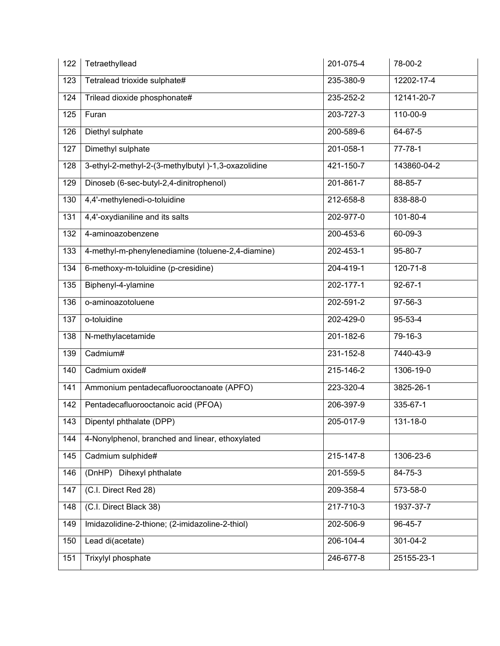| 122 | Tetraethyllead                                     | 201-075-4       | 78-00-2        |
|-----|----------------------------------------------------|-----------------|----------------|
| 123 | Tetralead trioxide sulphate#                       | 235-380-9       | 12202-17-4     |
| 124 | Trilead dioxide phosphonate#                       | 235-252-2       | 12141-20-7     |
| 125 | Furan                                              | 203-727-3       | $110 - 00 - 9$ |
| 126 | Diethyl sulphate                                   | 200-589-6       | 64-67-5        |
| 127 | Dimethyl sulphate                                  | 201-058-1       | $77 - 78 - 1$  |
| 128 | 3-ethyl-2-methyl-2-(3-methylbutyl)-1,3-oxazolidine | 421-150-7       | 143860-04-2    |
| 129 | Dinoseb (6-sec-butyl-2,4-dinitrophenol)            | $201 - 861 - 7$ | 88-85-7        |
| 130 | 4,4'-methylenedi-o-toluidine                       | 212-658-8       | 838-88-0       |
| 131 | 4,4'-oxydianiline and its salts                    | 202-977-0       | $101 - 80 - 4$ |
| 132 | 4-aminoazobenzene                                  | 200-453-6       | 60-09-3        |
| 133 | 4-methyl-m-phenylenediamine (toluene-2,4-diamine)  | 202-453-1       | $95 - 80 - 7$  |
| 134 | 6-methoxy-m-toluidine (p-cresidine)                | 204-419-1       | $120 - 71 - 8$ |
| 135 | Biphenyl-4-ylamine                                 | 202-177-1       | $92 - 67 - 1$  |
| 136 | o-aminoazotoluene                                  | 202-591-2       | $97 - 56 - 3$  |
| 137 | o-toluidine                                        | 202-429-0       | $95 - 53 - 4$  |
| 138 | N-methylacetamide                                  | 201-182-6       | $79 - 16 - 3$  |
| 139 | Cadmium#                                           | 231-152-8       | 7440-43-9      |
| 140 | Cadmium oxide#                                     | 215-146-2       | 1306-19-0      |
| 141 | Ammonium pentadecafluorooctanoate (APFO)           | 223-320-4       | 3825-26-1      |
| 142 | Pentadecafluorooctanoic acid (PFOA)                | 206-397-9       | 335-67-1       |
|     | 143   Dipentyl phthalate (DPP)                     | 205-017-9       | 131-18-0       |
| 144 | 4-Nonylphenol, branched and linear, ethoxylated    |                 |                |
| 145 | Cadmium sulphide#                                  | 215-147-8       | 1306-23-6      |
| 146 | (DnHP) Dihexyl phthalate                           | 201-559-5       | 84-75-3        |
| 147 | (C.I. Direct Red 28)                               | 209-358-4       | 573-58-0       |
| 148 | (C.I. Direct Black 38)                             | 217-710-3       | 1937-37-7      |
| 149 | Imidazolidine-2-thione; (2-imidazoline-2-thiol)    | 202-506-9       | 96-45-7        |
| 150 | Lead di(acetate)                                   | 206-104-4       | 301-04-2       |
| 151 | Trixylyl phosphate                                 | 246-677-8       | 25155-23-1     |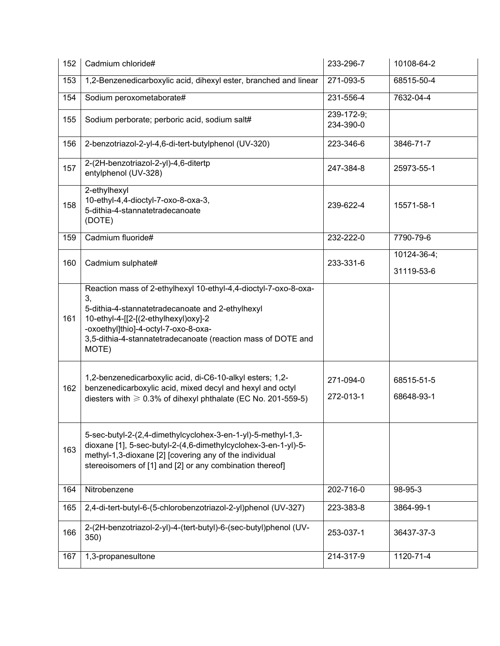| 152 | Cadmium chloride#                                                                                                                                                                                                                                                                  | 233-296-7               | 10108-64-2                |
|-----|------------------------------------------------------------------------------------------------------------------------------------------------------------------------------------------------------------------------------------------------------------------------------------|-------------------------|---------------------------|
| 153 | 1,2-Benzenedicarboxylic acid, dihexyl ester, branched and linear                                                                                                                                                                                                                   | 271-093-5               | 68515-50-4                |
| 154 | Sodium peroxometaborate#                                                                                                                                                                                                                                                           | 231-556-4               | 7632-04-4                 |
| 155 | Sodium perborate; perboric acid, sodium salt#                                                                                                                                                                                                                                      | 239-172-9;<br>234-390-0 |                           |
| 156 | 2-benzotriazol-2-yl-4,6-di-tert-butylphenol (UV-320)                                                                                                                                                                                                                               | 223-346-6               | 3846-71-7                 |
| 157 | 2-(2H-benzotriazol-2-yl)-4,6-ditertp<br>entylphenol (UV-328)                                                                                                                                                                                                                       | 247-384-8               | 25973-55-1                |
| 158 | 2-ethylhexyl<br>10-ethyl-4,4-dioctyl-7-oxo-8-oxa-3,<br>5-dithia-4-stannatetradecanoate<br>(DOTE)                                                                                                                                                                                   | 239-622-4               | 15571-58-1                |
| 159 | Cadmium fluoride#                                                                                                                                                                                                                                                                  | 232-222-0               | 7790-79-6                 |
| 160 | Cadmium sulphate#                                                                                                                                                                                                                                                                  | 233-331-6               | 10124-36-4;<br>31119-53-6 |
| 161 | Reaction mass of 2-ethylhexyl 10-ethyl-4,4-dioctyl-7-oxo-8-oxa-<br>3,<br>5-dithia-4-stannatetradecanoate and 2-ethylhexyl<br>10-ethyl-4-[[2-[(2-ethylhexyl)oxy]-2<br>-oxoethyl]thio]-4-octyl-7-oxo-8-oxa-<br>3,5-dithia-4-stannatetradecanoate (reaction mass of DOTE and<br>MOTE) |                         |                           |
| 162 | 1,2-benzenedicarboxylic acid, di-C6-10-alkyl esters; 1,2-<br>benzenedicarboxylic acid, mixed decyl and hexyl and octyl<br>diesters with $\geq 0.3\%$ of dihexyl phthalate (EC No. 201-559-5)                                                                                       | 271-094-0<br>272-013-1  | 68515-51-5<br>68648-93-1  |
| 163 | 5-sec-butyl-2-(2,4-dimethylcyclohex-3-en-1-yl)-5-methyl-1,3-<br>dioxane [1], 5-sec-butyl-2-(4,6-dimethylcyclohex-3-en-1-yl)-5-<br>methyl-1,3-dioxane [2] [covering any of the individual<br>stereoisomers of [1] and [2] or any combination thereof]                               |                         |                           |
| 164 | Nitrobenzene                                                                                                                                                                                                                                                                       | 202-716-0               | 98-95-3                   |
| 165 | 2,4-di-tert-butyl-6-(5-chlorobenzotriazol-2-yl)phenol (UV-327)                                                                                                                                                                                                                     | 223-383-8               | 3864-99-1                 |
| 166 | 2-(2H-benzotriazol-2-yl)-4-(tert-butyl)-6-(sec-butyl)phenol (UV-<br>350)                                                                                                                                                                                                           | 253-037-1               | 36437-37-3                |
| 167 | 1,3-propanesultone                                                                                                                                                                                                                                                                 | 214-317-9               | 1120-71-4                 |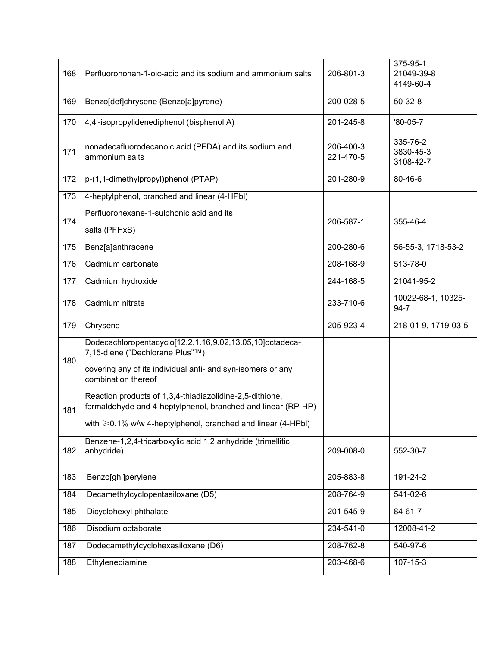| 168 | Perfluorononan-1-oic-acid and its sodium and ammonium salts                                                                                                                                    | 206-801-3              | 375-95-1<br>21049-39-8<br>4149-60-4 |
|-----|------------------------------------------------------------------------------------------------------------------------------------------------------------------------------------------------|------------------------|-------------------------------------|
| 169 | Benzo[def]chrysene (Benzo[a]pyrene)                                                                                                                                                            | 200-028-5              | $50 - 32 - 8$                       |
| 170 | 4,4'-isopropylidenediphenol (bisphenol A)                                                                                                                                                      | 201-245-8              | $'80-05-7$                          |
| 171 | nonadecafluorodecanoic acid (PFDA) and its sodium and<br>ammonium salts                                                                                                                        | 206-400-3<br>221-470-5 | 335-76-2<br>3830-45-3<br>3108-42-7  |
| 172 | p-(1,1-dimethylpropyl)phenol (PTAP)                                                                                                                                                            | 201-280-9              | 80-46-6                             |
| 173 | 4-heptylphenol, branched and linear (4-HPbl)                                                                                                                                                   |                        |                                     |
| 174 | Perfluorohexane-1-sulphonic acid and its<br>salts (PFHxS)                                                                                                                                      | 206-587-1              | 355-46-4                            |
| 175 | Benz[a]anthracene                                                                                                                                                                              | 200-280-6              | 56-55-3, 1718-53-2                  |
| 176 | Cadmium carbonate                                                                                                                                                                              | 208-168-9              | 513-78-0                            |
| 177 | Cadmium hydroxide                                                                                                                                                                              | 244-168-5              | 21041-95-2                          |
| 178 | Cadmium nitrate                                                                                                                                                                                | 233-710-6              | 10022-68-1, 10325-<br>$94 - 7$      |
| 179 | Chrysene                                                                                                                                                                                       | 205-923-4              | 218-01-9, 1719-03-5                 |
| 180 | Dodecachloropentacyclo[12.2.1.16,9.02,13.05,10]octadeca-<br>7,15-diene ("Dechlorane Plus"™)<br>covering any of its individual anti- and syn-isomers or any<br>combination thereof              |                        |                                     |
| 181 | Reaction products of 1,3,4-thiadiazolidine-2,5-dithione,<br>formaldehyde and 4-heptylphenol, branched and linear (RP-HP)<br>with $\geq 0.1\%$ w/w 4-heptylphenol, branched and linear (4-HPbI) |                        |                                     |
| 182 | Benzene-1,2,4-tricarboxylic acid 1,2 anhydride (trimellitic<br>anhydride)                                                                                                                      | 209-008-0              | 552-30-7                            |
| 183 | Benzo[ghi]perylene                                                                                                                                                                             | 205-883-8              | 191-24-2                            |
| 184 | Decamethylcyclopentasiloxane (D5)                                                                                                                                                              | 208-764-9              | $541 - 02 - 6$                      |
| 185 | Dicyclohexyl phthalate                                                                                                                                                                         | 201-545-9              | 84-61-7                             |
| 186 | Disodium octaborate                                                                                                                                                                            | 234-541-0              | 12008-41-2                          |
| 187 | Dodecamethylcyclohexasiloxane (D6)                                                                                                                                                             | 208-762-8              | 540-97-6                            |
| 188 | Ethylenediamine                                                                                                                                                                                | 203-468-6              | 107-15-3                            |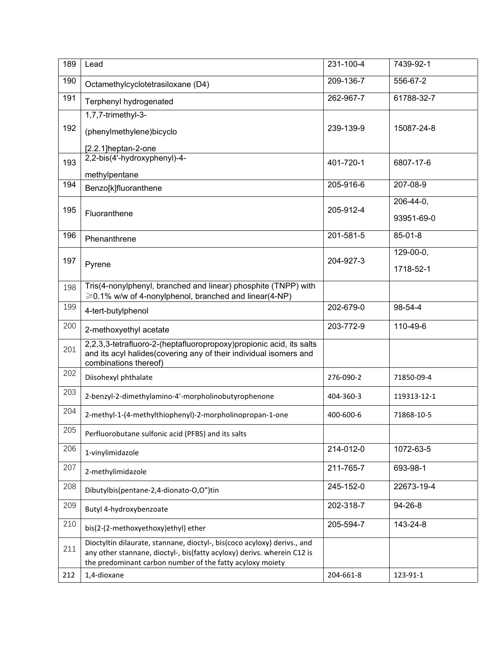| 189 | Lead                                                                                                                                                                                                             | 231-100-4 | 7439-92-1   |
|-----|------------------------------------------------------------------------------------------------------------------------------------------------------------------------------------------------------------------|-----------|-------------|
| 190 | Octamethylcyclotetrasiloxane (D4)                                                                                                                                                                                | 209-136-7 | 556-67-2    |
| 191 | Terphenyl hydrogenated                                                                                                                                                                                           | 262-967-7 | 61788-32-7  |
|     | 1,7,7-trimethyl-3-                                                                                                                                                                                               |           |             |
| 192 | (phenylmethylene)bicyclo                                                                                                                                                                                         | 239-139-9 | 15087-24-8  |
|     | [2.2.1]heptan-2-one                                                                                                                                                                                              |           |             |
| 193 | 2,2-bis(4'-hydroxyphenyl)-4-                                                                                                                                                                                     | 401-720-1 | 6807-17-6   |
| 194 | methylpentane                                                                                                                                                                                                    | 205-916-6 | 207-08-9    |
|     | Benzo[k]fluoranthene                                                                                                                                                                                             |           |             |
| 195 | Fluoranthene                                                                                                                                                                                                     | 205-912-4 | 206-44-0,   |
|     |                                                                                                                                                                                                                  |           | 93951-69-0  |
| 196 | Phenanthrene                                                                                                                                                                                                     | 201-581-5 | 85-01-8     |
| 197 |                                                                                                                                                                                                                  | 204-927-3 | $129-00-0,$ |
|     | Pyrene                                                                                                                                                                                                           |           | 1718-52-1   |
| 198 | Tris(4-nonylphenyl, branched and linear) phosphite (TNPP) with<br>$\geq 0.1\%$ w/w of 4-nonylphenol, branched and linear(4-NP)                                                                                   |           |             |
| 199 | 4-tert-butylphenol                                                                                                                                                                                               | 202-679-0 | 98-54-4     |
| 200 | 2-methoxyethyl acetate                                                                                                                                                                                           | 203-772-9 | 110-49-6    |
| 201 | 2,2,3,3-tetrafluoro-2-(heptafluoropropoxy)propionic acid, its salts<br>and its acyl halides(covering any of their individual isomers and<br>combinations thereof)                                                |           |             |
| 202 | Diisohexyl phthalate                                                                                                                                                                                             | 276-090-2 | 71850-09-4  |
| 203 | 2-benzyl-2-dimethylamino-4'-morpholinobutyrophenone                                                                                                                                                              | 404-360-3 | 119313-12-1 |
| 204 | 2-methyl-1-(4-methylthiophenyl)-2-morpholinopropan-1-one                                                                                                                                                         | 400-600-6 | 71868-10-5  |
| 205 | Perfluorobutane sulfonic acid (PFBS) and its salts                                                                                                                                                               |           |             |
| 206 | 1-vinylimidazole                                                                                                                                                                                                 | 214-012-0 | 1072-63-5   |
| 207 | 2-methylimidazole                                                                                                                                                                                                | 211-765-7 | 693-98-1    |
| 208 | Dibutylbis(pentane-2,4-dionato-O,O")tin                                                                                                                                                                          | 245-152-0 | 22673-19-4  |
| 209 | Butyl 4-hydroxybenzoate                                                                                                                                                                                          | 202-318-7 | 94-26-8     |
| 210 | bis(2-(2-methoxyethoxy)ethyl) ether                                                                                                                                                                              | 205-594-7 | 143-24-8    |
| 211 | Dioctyltin dilaurate, stannane, dioctyl-, bis(coco acyloxy) derivs., and<br>any other stannane, dioctyl-, bis(fatty acyloxy) derivs. wherein C12 is<br>the predominant carbon number of the fatty acyloxy moiety |           |             |
| 212 | 1,4-dioxane                                                                                                                                                                                                      | 204-661-8 | 123-91-1    |